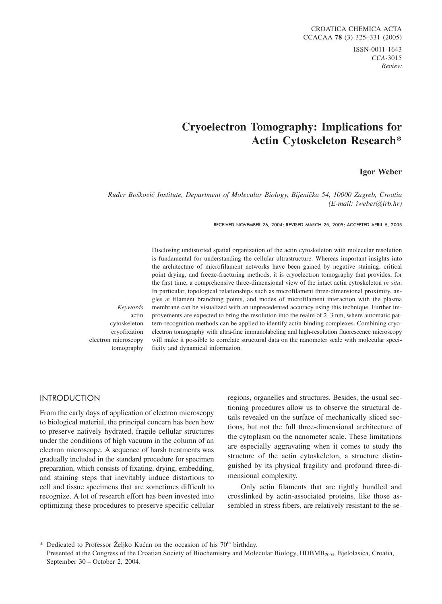ISSN-0011-1643 *CCA-*3015 *Review*

## **Cryoelectron Tomography: Implications for Actin Cytoskeleton Research\***

### **Igor Weber**

*Ru|er Bo{kovi} Institute, Department of Molecular Biology, Bijeni~ka 54, 10000 Zagreb, Croatia (E-mail: iweber@irb.hr)*

RECEIVED NOVEMBER 26, 2004; REVISED MARCH 25, 2005; ACCEPTED APRIL 5, 2005

Disclosing undistorted spatial organization of the actin cytoskeleton with molecular resolution is fundamental for understanding the cellular ultrastructure. Whereas important insights into the architecture of microfilament networks have been gained by negative staining, critical point drying, and freeze-fracturing methods, it is cryoelectron tomography that provides, for the first time, a comprehensive three-dimensional view of the intact actin cytoskeleton *in situ*. In particular, topological relationships such as microfilament three-dimensional proximity, angles at filament branching points, and modes of microfilament interaction with the plasma membrane can be visualized with an unprecedented accuracy using this technique. Further improvements are expected to bring the resolution into the realm of 2–3 nm, where automatic pattern-recognition methods can be applied to identify actin-binding complexes. Combining cryoelectron tomography with ultra-fine immunolabeling and high-resolution fluorescence microscopy will make it possible to correlate structural data on the nanometer scale with molecular specificity and dynamical information.

*Keywords* actin cytoskeleton cryofixation electron microscopy tomography

### INTRODUCTION

From the early days of application of electron microscopy to biological material, the principal concern has been how to preserve natively hydrated, fragile cellular structures under the conditions of high vacuum in the column of an electron microscope. A sequence of harsh treatments was gradually included in the standard procedure for specimen preparation, which consists of fixating, drying, embedding, and staining steps that inevitably induce distortions to cell and tissue specimens that are sometimes difficult to recognize. A lot of research effort has been invested into optimizing these procedures to preserve specific cellular

regions, organelles and structures. Besides, the usual sectioning procedures allow us to observe the structural details revealed on the surface of mechanically sliced sections, but not the full three-dimensional architecture of the cytoplasm on the nanometer scale. These limitations are especially aggravating when it comes to study the structure of the actin cytoskeleton, a structure distinguished by its physical fragility and profound three-dimensional complexity.

Only actin filaments that are tightly bundled and crosslinked by actin-associated proteins, like those assembled in stress fibers, are relatively resistant to the se-

<sup>\*</sup> Dedicated to Professor Željko Kućan on the occasion of his 70<sup>th</sup> birthday. Presented at the Congress of the Croatian Society of Biochemistry and Molecular Biology, HDBMB<sub>2004</sub>, Bjelolasica, Croatia, September 30 – October 2, 2004.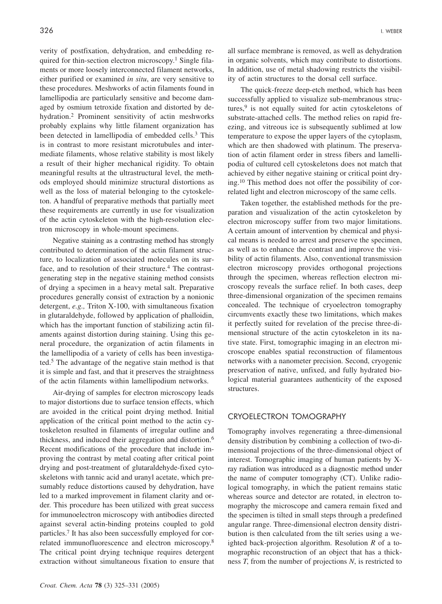verity of postfixation, dehydration, and embedding required for thin-section electron microscopy.<sup>1</sup> Single filaments or more loosely interconnected filament networks, either purified or examined *in situ*, are very sensitive to these procedures. Meshworks of actin filaments found in lamellipodia are particularly sensitive and become damaged by osmium tetroxide fixation and distorted by dehydration.2 Prominent sensitivity of actin meshworks probably explains why little filament organization has been detected in lamellipodia of embedded cells.<sup>3</sup> This is in contrast to more resistant microtubules and intermediate filaments, whose relative stability is most likely a result of their higher mechanical rigidity. To obtain meaningful results at the ultrastructural level, the methods employed should minimize structural distortions as well as the loss of material belonging to the cytoskeleton. A handful of preparative methods that partially meet these requirements are currently in use for visualization of the actin cytoskeleton with the high-resolution electron microscopy in whole-mount specimens.

Negative staining as a contrasting method has strongly contributed to determination of the actin filament structure, to localization of associated molecules on its surface, and to resolution of their structure.<sup>4</sup> The contrastgenerating step in the negative staining method consists of drying a specimen in a heavy metal salt. Preparative procedures generally consist of extraction by a nonionic detergent, *e.g.,* Triton X-100, with simultaneous fixation in glutaraldehyde, followed by application of phalloidin, which has the important function of stabilizing actin filaments against distortion during staining. Using this general procedure, the organization of actin filaments in the lamellipodia of a variety of cells has been investigated.5 The advantage of the negative stain method is that it is simple and fast, and that it preserves the straightness of the actin filaments within lamellipodium networks.

Air-drying of samples for electron microscopy leads to major distortions due to surface tension effects, which are avoided in the critical point drying method. Initial application of the critical point method to the actin cytoskeleton resulted in filaments of irregular outline and thickness, and induced their aggregation and distortion.6 Recent modifications of the procedure that include improving the contrast by metal coating after critical point drying and post-treatment of glutaraldehyde-fixed cytoskeletons with tannic acid and uranyl acetate, which presumably reduce distortions caused by dehydration, have led to a marked improvement in filament clarity and order. This procedure has been utilized with great success for immunoelectron microscopy with antibodies directed against several actin-binding proteins coupled to gold particles.7 It has also been successfully employed for correlated immunofluorescence and electron microscopy.8 The critical point drying technique requires detergent extraction without simultaneous fixation to ensure that

all surface membrane is removed, as well as dehydration in organic solvents, which may contribute to distortions. In addition, use of metal shadowing restricts the visibility of actin structures to the dorsal cell surface.

The quick-freeze deep-etch method, which has been successfully applied to visualize sub-membranous structures, $9$  is not equally suited for actin cytoskeletons of substrate-attached cells. The method relies on rapid freezing, and vitreous ice is subsequently sublimed at low temperature to expose the upper layers of the cytoplasm, which are then shadowed with platinum. The preservation of actin filament order in stress fibers and lamellipodia of cultured cell cytoskeletons does not match that achieved by either negative staining or critical point drying.10 This method does not offer the possibility of correlated light and electron microscopy of the same cells.

Taken together, the established methods for the preparation and visualization of the actin cytoskeleton by electron microscopy suffer from two major limitations. A certain amount of intervention by chemical and physical means is needed to arrest and preserve the specimen, as well as to enhance the contrast and improve the visibility of actin filaments. Also, conventional transmission electron microscopy provides orthogonal projections through the specimen, whereas reflection electron microscopy reveals the surface relief. In both cases, deep three-dimensional organization of the specimen remains concealed. The technique of cryoelectron tomography circumvents exactly these two limitations, which makes it perfectly suited for revelation of the precise three-dimensional structure of the actin cytoskeleton in its native state. First, tomographic imaging in an electron microscope enables spatial reconstruction of filamentous networks with a nanometer precision. Second, cryogenic preservation of native, unfixed, and fully hydrated biological material guarantees authenticity of the exposed structures.

### CRYOELECTRON TOMOGRAPHY

Tomography involves regenerating a three-dimensional density distribution by combining a collection of two-dimensional projections of the three-dimensional object of interest. Tomographic imaging of human patients by Xray radiation was introduced as a diagnostic method under the name of computer tomography (CT). Unlike radiological tomography, in which the patient remains static whereas source and detector are rotated, in electron tomography the microscope and camera remain fixed and the specimen is tilted in small steps through a predefined angular range. Three-dimensional electron density distribution is then calculated from the tilt series using a weighted back-projection algorithm. Resolution *R* of a tomographic reconstruction of an object that has a thickness *T*, from the number of projections *N*, is restricted to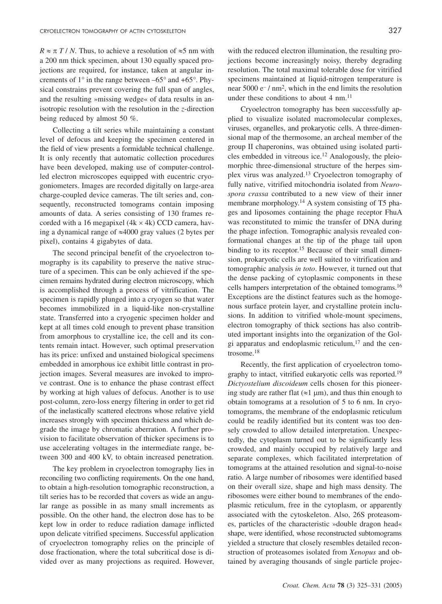$R \approx \pi T / N$ . Thus, to achieve a resolution of  $\approx 5$  nm with a 200 nm thick specimen, about 130 equally spaced projections are required, for instance, taken at angular increments of  $1^{\circ}$  in the range between  $-65^{\circ}$  and  $+65^{\circ}$ . Physical constrains prevent covering the full span of angles, and the resulting »missing wedge« of data results in anisotropic resolution with the resolution in the *z*-direction being reduced by almost 50 %.

Collecting a tilt series while maintaining a constant level of defocus and keeping the specimen centered in the field of view presents a formidable technical challenge. It is only recently that automatic collection procedures have been developed, making use of computer-controlled electron microscopes equipped with eucentric cryogoniometers. Images are recorded digitally on large-area charge-coupled device cameras. The tilt series and, consequently, reconstructed tomograms contain imposing amounts of data. A series consisting of 130 frames recorded with a 16 megapixel  $(4k \times 4k)$  CCD camera, having a dynamical range of  $\approx 4000$  gray values (2 bytes per pixel), contains 4 gigabytes of data.

The second principal benefit of the cryoelectron tomography is its capability to preserve the native structure of a specimen. This can be only achieved if the specimen remains hydrated during electron microscopy, which is accomplished through a process of vitrification. The specimen is rapidly plunged into a cryogen so that water becomes immobilized in a liquid-like non-crystalline state. Transferred into a cryogenic specimen holder and kept at all times cold enough to prevent phase transition from amorphous to crystalline ice, the cell and its contents remain intact. However, such optimal preservation has its price: unfixed and unstained biological specimens embedded in amorphous ice exhibit little contrast in projection images. Several measures are invoked to improve contrast. One is to enhance the phase contrast effect by working at high values of defocus. Another is to use post-column, zero-loss energy filtering in order to get rid of the inelastically scattered electrons whose relative yield increases strongly with specimen thickness and which degrade the image by chromatic aberration. A further provision to facilitate observation of thicker specimens is to use accelerating voltages in the intermediate range, between 300 and 400 kV, to obtain increased penetration.

The key problem in cryoelectron tomography lies in reconciling two conflicting requirements. On the one hand, to obtain a high-resolution tomographic reconstruction, a tilt series has to be recorded that covers as wide an angular range as possible in as many small increments as possible. On the other hand, the electron dose has to be kept low in order to reduce radiation damage inflicted upon delicate vitrified specimens. Successful application of cryoelectron tomography relies on the principle of dose fractionation, where the total subcritical dose is divided over as many projections as required. However,

with the reduced electron illumination, the resulting projections become increasingly noisy, thereby degrading resolution. The total maximal tolerable dose for vitrified specimens maintained at liquid-nitrogen temperature is near  $5000 e^{-7}$  mm<sup>2</sup>, which in the end limits the resolution under these conditions to about  $4 \text{ nm}$ .<sup>11</sup>

Cryoelectron tomography has been successfully applied to visualize isolated macromolecular complexes, viruses, organelles, and prokaryotic cells. A three-dimensional map of the thermosome, an archeal member of the group II chaperonins, was obtained using isolated particles embedded in vitreous ice.12 Analogously, the pleiomorphic three-dimensional structure of the herpes simplex virus was analyzed.13 Cryoelectron tomography of fully native, vitrified mitochondria isolated from *Neurospora crassa* contributed to a new view of their inner membrane morphology.<sup>14</sup> A system consisting of T5 phages and liposomes containing the phage receptor FhuA was reconstituted to mimic the transfer of DNA during the phage infection. Tomographic analysis revealed conformational changes at the tip of the phage tail upon binding to its receptor.<sup>15</sup> Because of their small dimension, prokaryotic cells are well suited to vitrification and tomographic analysis *in toto*. However, it turned out that the dense packing of cytoplasmic components in these cells hampers interpretation of the obtained tomograms.16 Exceptions are the distinct features such as the homogenous surface protein layer, and crystalline protein inclusions. In addition to vitrified whole-mount specimens, electron tomography of thick sections has also contributed important insights into the organization of the Golgi apparatus and endoplasmic reticulum, $17$  and the centrosome.18

Recently, the first application of cryoelectron tomography to intact, vitrified eukaryotic cells was reported.19 *Dictyostelium discoideum* cells chosen for this pioneering study are rather flat ( $\approx$ 1 µm), and thus thin enough to obtain tomograms at a resolution of 5 to 6 nm. In cryotomograms, the membrane of the endoplasmic reticulum could be readily identified but its content was too densely crowded to allow detailed interpretation. Unexpectedly, the cytoplasm turned out to be significantly less crowded, and mainly occupied by relatively large and separate complexes, which facilitated interpretation of tomograms at the attained resolution and signal-to-noise ratio. A large number of ribosomes were identified based on their overall size, shape and high mass density. The ribosomes were either bound to membranes of the endoplasmic reticulum, free in the cytoplasm, or apparently associated with the cytoskeleton. Also, 26S proteasomes, particles of the characteristic »double dragon head« shape, were identified, whose reconstructed subtomograms yielded a structure that closely resembles detailed reconstruction of proteasomes isolated from *Xenopus* and obtained by averaging thousands of single particle projec-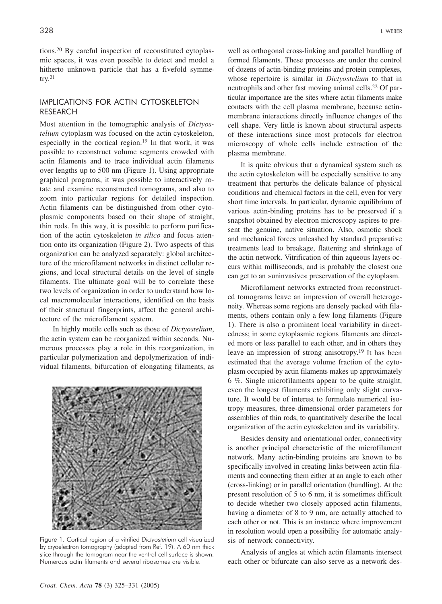tions.20 By careful inspection of reconstituted cytoplasmic spaces, it was even possible to detect and model a hitherto unknown particle that has a fivefold symme- $\text{trv.}^{21}$ 

# IMPLICATIONS FOR ACTIN CYTOSKELETON<br>RESEARCH

Most attention in the tomographic analysis of *Dictyostelium* cytoplasm was focused on the actin cytoskeleton, especially in the cortical region.<sup>19</sup> In that work, it was possible to reconstruct volume segments crowded with actin filaments and to trace individual actin filaments over lengths up to 500 nm (Figure 1). Using appropriate graphical programs, it was possible to interactively rotate and examine reconstructed tomograms, and also to zoom into particular regions for detailed inspection. Actin filaments can be distinguished from other cytoplasmic components based on their shape of straight, thin rods. In this way, it is possible to perform purification of the actin cytoskeleton *in silico* and focus attention onto its organization (Figure 2). Two aspects of this organization can be analyzed separately: global architecture of the microfilament networks in distinct cellular regions, and local structural details on the level of single filaments. The ultimate goal will be to correlate these two levels of organization in order to understand how local macromolecular interactions, identified on the basis of their structural fingerprints, affect the general architecture of the microfilament system.

In highly motile cells such as those of *Dictyostelium*, the actin system can be reorganized within seconds. Numerous processes play a role in this reorganization, in particular polymerization and depolymerization of individual filaments, bifurcation of elongating filaments, as



Figure 1. Cortical region of a vitrified *Dictyostelium* cell visualized by cryoelectron tomography (adapted from Ref. 19). A 60 nm thick slice through the tomogram near the ventral cell surface is shown. Numerous actin filaments and several ribosomes are visible.

well as orthogonal cross-linking and parallel bundling of formed filaments. These processes are under the control of dozens of actin-binding proteins and protein complexes, whose repertoire is similar in *Dictyostelium* to that in neutrophils and other fast moving animal cells.<sup>22</sup> Of particular importance are the sites where actin filaments make contacts with the cell plasma membrane, because actinmembrane interactions directly influence changes of the cell shape. Very little is known about structural aspects of these interactions since most protocols for electron microscopy of whole cells include extraction of the plasma membrane.

It is quite obvious that a dynamical system such as the actin cytoskeleton will be especially sensitive to any treatment that perturbs the delicate balance of physical conditions and chemical factors in the cell, even for very short time intervals. In particular, dynamic equilibrium of various actin-binding proteins has to be preserved if a snapshot obtained by electron microscopy aspires to present the genuine, native situation. Also, osmotic shock and mechanical forces unleashed by standard preparative treatments lead to breakage, flattening and shrinkage of the actin network. Vitrification of thin aqueous layers occurs within milliseconds, and is probably the closest one can get to an »uninvasive« preservation of the cytoplasm.

Microfilament networks extracted from reconstructed tomograms leave an impression of overall heterogeneity. Whereas some regions are densely packed with filaments, others contain only a few long filaments (Figure 1). There is also a prominent local variability in directedness; in some cytoplasmic regions filaments are directed more or less parallel to each other, and in others they leave an impression of strong anisotropy.19 It has been estimated that the average volume fraction of the cytoplasm occupied by actin filaments makes up approximately 6 %. Single microfilaments appear to be quite straight, even the longest filaments exhibiting only slight curvature. It would be of interest to formulate numerical isotropy measures, three-dimensional order parameters for assemblies of thin rods, to quantitatively describe the local organization of the actin cytoskeleton and its variability.

Besides density and orientational order, connectivity is another principal characteristic of the microfilament network. Many actin-binding proteins are known to be specifically involved in creating links between actin filaments and connecting them either at an angle to each other (cross-linking) or in parallel orientation (bundling). At the present resolution of 5 to 6 nm, it is sometimes difficult to decide whether two closely apposed actin filaments, having a diameter of 8 to 9 nm, are actually attached to each other or not. This is an instance where improvement in resolution would open a possibility for automatic analysis of network connectivity.

Analysis of angles at which actin filaments intersect each other or bifurcate can also serve as a network des-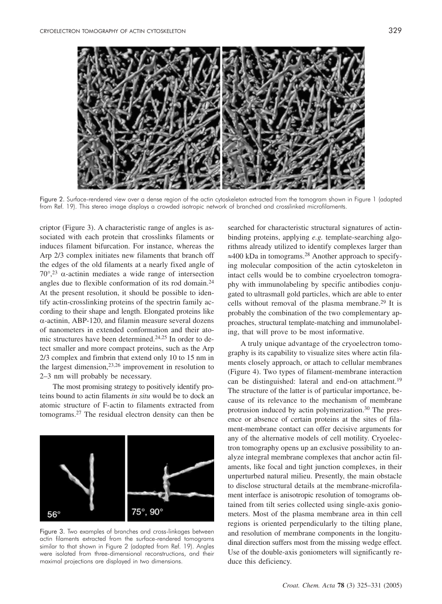

Figure 2. Surface-rendered view over a dense region of the actin cytoskeleton extracted from the tomogram shown in Figure 1 (adapted from Ref. 19). This stereo image displays a crowded isotropic network of branched and crosslinked microfilaments.

criptor (Figure 3). A characteristic range of angles is associated with each protein that crosslinks filaments or induces filament bifurcation. For instance, whereas the Arp 2/3 complex initiates new filaments that branch off the edges of the old filaments at a nearly fixed angle of  $70^{\circ}$ ,<sup>23</sup>  $\alpha$ -actinin mediates a wide range of intersection angles due to flexible conformation of its rod domain.24 At the present resolution, it should be possible to identify actin-crosslinking proteins of the spectrin family according to their shape and length. Elongated proteins like  $\alpha$ -actinin, ABP-120, and filamin measure several dozens of nanometers in extended conformation and their atomic structures have been determined.<sup>24,25</sup> In order to detect smaller and more compact proteins, such as the Arp 2/3 complex and fimbrin that extend only 10 to 15 nm in the largest dimension,  $23,26$  improvement in resolution to 2–3 nm will probably be necessary.

The most promising strategy to positively identify proteins bound to actin filaments *in situ* would be to dock an atomic structure of F-actin to filaments extracted from tomograms.27 The residual electron density can then be



Figure 3. Two examples of branches and cross-linkages between actin filaments extracted from the surface-rendered tomograms similar to that shown in Figure 2 (adapted from Ref. 19). Angles were isolated from three-dimensional reconstructions, and their maximal projections are displayed in two dimensions.

searched for characteristic structural signatures of actinbinding proteins, applying *e.g.* template-searching algorithms already utilized to identify complexes larger than  $\approx$ 400 kDa in tomograms.<sup>28</sup> Another approach to specifying molecular composition of the actin cytoskeleton in intact cells would be to combine cryoelectron tomography with immunolabeling by specific antibodies conjugated to ultrasmall gold particles, which are able to enter cells without removal of the plasma membrane.29 It is probably the combination of the two complementary approaches, structural template-matching and immunolabeling, that will prove to be most informative.

A truly unique advantage of the cryoelectron tomography is its capability to visualize sites where actin filaments closely approach, or attach to cellular membranes (Figure 4). Two types of filament-membrane interaction can be distinguished: lateral and end-on attachment.19 The structure of the latter is of particular importance, because of its relevance to the mechanism of membrane protrusion induced by actin polymerization.<sup>30</sup> The presence or absence of certain proteins at the sites of filament-membrane contact can offer decisive arguments for any of the alternative models of cell motility. Cryoelectron tomography opens up an exclusive possibility to analyze integral membrane complexes that anchor actin filaments, like focal and tight junction complexes, in their unperturbed natural milieu. Presently, the main obstacle to disclose structural details at the membrane-microfilament interface is anisotropic resolution of tomograms obtained from tilt series collected using single-axis goniometers. Most of the plasma membrane area in thin cell regions is oriented perpendicularly to the tilting plane, and resolution of membrane components in the longitudinal direction suffers most from the missing wedge effect. Use of the double-axis goniometers will significantly reduce this deficiency.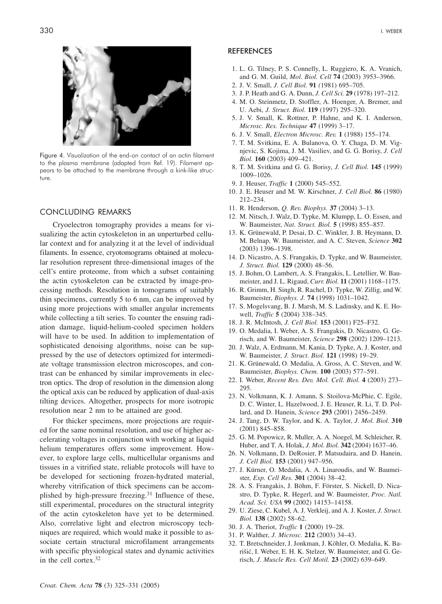

Figure 4. Visualization of the end-on contact of an actin filament to the plasma membrane (adapted from Ref. 19). Filament appears to be attached to the membrane through a kink-like structure.

#### CONCLUDING REMARKS

Cryoelectron tomography provides a means for visualizing the actin cytoskeleton in an unperturbed cellular context and for analyzing it at the level of individual filaments. In essence, cryotomograms obtained at molecular resolution represent three-dimensional images of the cell's entire proteome, from which a subset containing the actin cytoskeleton can be extracted by image-processing methods. Resolution in tomograms of suitably thin specimens, currently 5 to 6 nm, can be improved by using more projections with smaller angular increments while collecting a tilt series. To counter the ensuing radiation damage, liquid-helium-cooled specimen holders will have to be used. In addition to implementation of sophisticated denoising algorithms, noise can be suppressed by the use of detectors optimized for intermediate voltage transmission electron microscopes, and contrast can be enhanced by similar improvements in electron optics. The drop of resolution in the dimension along the optical axis can be reduced by application of dual-axis tilting devices. Altogether, prospects for more isotropic resolution near 2 nm to be attained are good.

For thicker specimens, more projections are required for the same nominal resolution, and use of higher accelerating voltages in conjunction with working at liquid helium temperatures offers some improvement. However, to explore large cells, multicellular organisms and tissues in a vitrified state, reliable protocols will have to be developed for sectioning frozen-hydrated material, whereby vitrification of thick specimens can be accomplished by high-pressure freezing.31 Influence of these, still experimental, procedures on the structural integrity of the actin cytoskeleton have yet to be determined. Also, correlative light and electron microscopy techniques are required, which would make it possible to associate certain structural microfilament arrangements with specific physiological states and dynamic activities in the cell cortex.32

#### **REFERENCES**

- 1. L. G. Tilney, P. S. Connelly, L. Ruggiero, K. A. Vranich, and G. M. Guild, *Mol. Biol. Cell* **74** (2003) 3953–3966.
- 2. J. V. Small, *J. Cell Biol.* **91** *(*1981) 695–705.
- 3. J. P. Heath and G. A. Dunn, *J. Cell Sci.* **29** (1978) 197–212.
- 4. M. O. Steinmetz, D. Stoffler, A. Hoenger, A. Bremer, and U. Aebi, *J. Struct. Biol.* **119** (1997) 295–320.
- 5. J. V. Small, K. Rottner, P. Hahne, and K. I. Anderson, *Microsc. Res. Technique* **47** (1999) 3–17.
- 6. J. V. Small, *Electron Microsc. Rev.* **1** (1988) 155–174.
- 7. T. M. Svitkina, E. A. Bulanova, O. Y. Chaga, D. M. Vignjevic, S. Kojima, J. M. Vasiliev, and G. G. Borisy, *J. Cell Biol.* **160** (2003) 409–421.
- 8. T. M. Svitkina and G. G. Borisy, *J. Cell Biol.* **145** (1999) 1009–1026.
- 9. J. Heuser, *Traffic* **1** (2000) 545–552.
- 10. J. E. Heuser and M. W. Kirschner, *J. Cell Biol.* **86** (1980) 212–234.
- 11. R. Henderson, *Q. Rev. Biophys.* **37** (2004) 3–13.
- 12. M. Nitsch, J. Walz, D. Typke, M. Klumpp, L. O. Essen, and W. Baumeister, *Nat. Struct. Biol.* **5** (1998) 855–857*.*
- 13. K. Grünewald, P. Desai, D. C. Winkler, J. B. Heymann, D. M. Belnap, W. Baumeister, and A. C. Steven, *Science* **302** (2003) 1396–1398.
- 14. D. Nicastro, A. S. Frangakis, D. Typke, and W. Baumeister, *J. Struct. Biol.* **129** (2000) 48–56.
- 15. J. Bohm, O. Lambert, A. S. Frangakis, L. Letellier, W. Baumeister, and J. L. Rigaud, *Curr. Biol.* **11** (2001) 1168–1175.
- 16. R. Grimm, H. Singh, R. Rachel, D. Typke, W. Zillig, and W. Baumeister, *Biophys. J.* **74** (1998) 1031–1042.
- 17. S. Mogelsvang, B. J. Marsh, M. S. Ladinsky, and K. E. Howell, *Traffic* **5** (2004) 338–345.
- 18. J. R. McIntosh, *J. Cell Biol.* **153** (2001) F25–F32.
- 19. O. Medalia, I. Weber, A. S. Frangakis, D. Nicastro, G. Gerisch, and W. Baumeister, *Science* **298** (2002) 1209–1213.
- 20. J. Walz, A. Erdmann, M. Kania, D. Typke, A. J. Koster, and W. Baumeister, *J. Struct. Biol.* **121** (1998) 19–29.
- 21. K. Grünewald, O. Medalia, A. Gross, A. C. Steven, and W. Baumeister, *Biophys. Chem.* **100** (2003) 577–591*.*
- 22. I. Weber, *Recent Res. Dev. Mol. Cell. Biol.* **4** (2003) 273– 295.
- 23. N. Volkmann, K. J. Amann, S. Stoilova-McPhie, C. Egile, D. C. Winter, L. Hazelwood, J. E. Heuser, R. Li, T. D. Pollard, and D. Hanein, *Science* **293** (2001) 2456–2459.
- 24. J. Tang, D. W. Taylor, and K. A. Taylor, *J. Mol. Biol.* **310** (2001) 845–858.
- 25. G. M. Popowicz, R. Muller, A. A. Noegel, M. Schleicher, R. Huber, and T. A. Holak, *J. Mol. Biol.* **342** (2004) 1637–46.
- 26. N. Volkmann, D. DeRosier, P. Matsudaira, and D. Hanein, *J. Cell Biol.* **153** (2001) 947–956.
- 27. J. Kürner, O. Medalia, A. A. Linaroudis, and W. Baumeister, *Exp. Cell Res.* **301** (2004) 38–42.
- 28. A. S. Frangakis, J. Böhm, F. Förster, S. Nickell, D. Nicastro, D. Typke, R. Hegerl, and W. Baumeister, *Proc. Natl. Acad. Sci. USA* **99** (2002) 14153–14158.
- 29. U. Ziese, C. Kubel, A. J. Verkleij, and A. J. Koster, *J. Struct. Biol.* **138** (2002) 58–62.
- 30. J. A. Theriot, *Traffic* **1** (2000) 19–28.
- 31. P. Walther, *J. Microsc.* **212** (2003) 34–43.
- 32. T. Bretschneider, J. Jonkman, J. Köhler, O. Medalia, K. Barišić, I. Weber, E. H. K. Stelzer, W. Baumeister, and G. Gerisch, *J. Muscle Res. Cell Motil.* **23** (2002) 639–649.